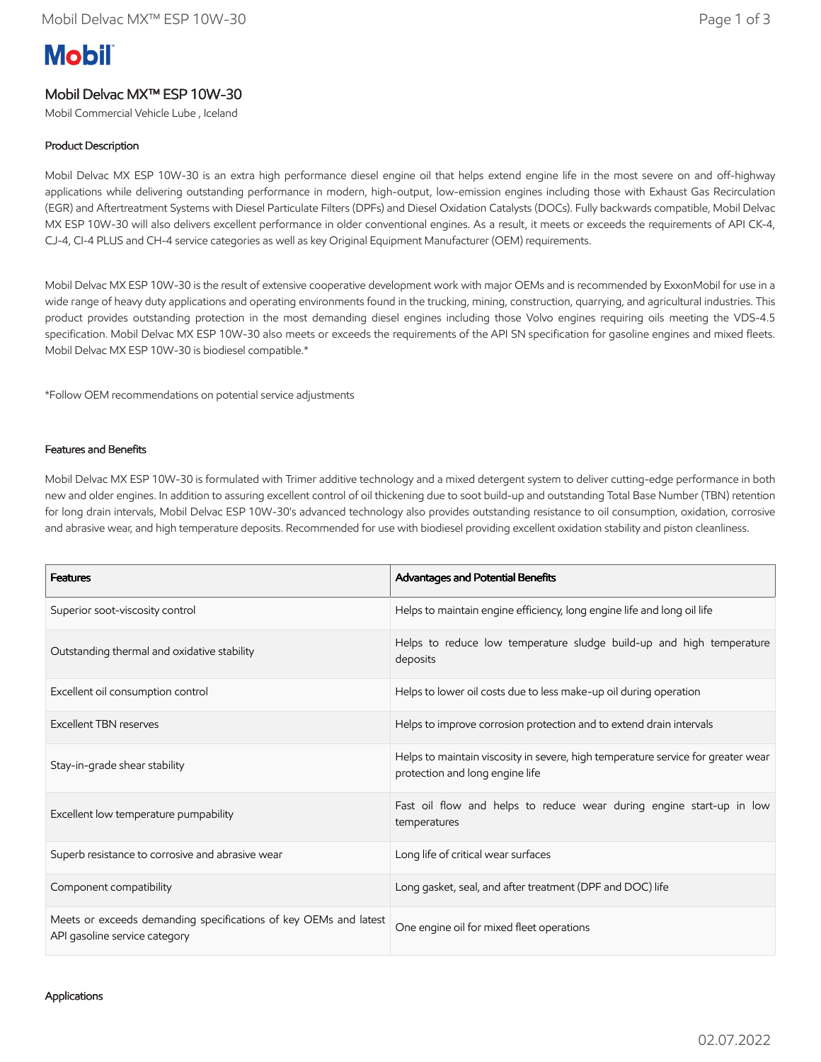# **Mobil**

# Mobil Delvac MX™ ESP 10W-30

Mobil Commercial Vehicle Lube , Iceland

### Product Description

Mobil Delvac MX ESP 10W-30 is an extra high performance diesel engine oil that helps extend engine life in the most severe on and off-highway applications while delivering outstanding performance in modern, high-output, low-emission engines including those with Exhaust Gas Recirculation (EGR) and Aftertreatment Systems with Diesel Particulate Filters (DPFs) and Diesel Oxidation Catalysts (DOCs). Fully backwards compatible, Mobil Delvac MX ESP 10W-30 will also delivers excellent performance in older conventional engines. As a result, it meets or exceeds the requirements of API CK-4, CJ-4, CI-4 PLUS and CH-4 service categories as well as key Original Equipment Manufacturer (OEM) requirements.

Mobil Delvac MX ESP 10W-30 is the result of extensive cooperative development work with major OEMs and is recommended by ExxonMobil for use in a wide range of heavy duty applications and operating environments found in the trucking, mining, construction, quarrying, and agricultural industries. This product provides outstanding protection in the most demanding diesel engines including those Volvo engines requiring oils meeting the VDS-4.5 specification. Mobil Delvac MX ESP 10W-30 also meets or exceeds the requirements of the API SN specification for gasoline engines and mixed fleets. Mobil Delvac MX ESP 10W-30 is biodiesel compatible.\*

\*Follow OEM recommendations on potential service adjustments

#### Features and Benefits

Mobil Delvac MX ESP 10W-30 is formulated with Trimer additive technology and a mixed detergent system to deliver cutting-edge performance in both new and older engines. In addition to assuring excellent control of oil thickening due to soot build-up and outstanding Total Base Number (TBN) retention for long drain intervals, Mobil Delvac ESP 10W-30's advanced technology also provides outstanding resistance to oil consumption, oxidation, corrosive and abrasive wear, and high temperature deposits. Recommended for use with biodiesel providing excellent oxidation stability and piston cleanliness.

| <b>Features</b>                                                                                   | Advantages and Potential Benefits                                                                                   |  |
|---------------------------------------------------------------------------------------------------|---------------------------------------------------------------------------------------------------------------------|--|
| Superior soot-viscosity control                                                                   | Helps to maintain engine efficiency, long engine life and long oil life                                             |  |
| Outstanding thermal and oxidative stability                                                       | Helps to reduce low temperature sludge build-up and high temperature<br>deposits                                    |  |
| Excellent oil consumption control                                                                 | Helps to lower oil costs due to less make-up oil during operation                                                   |  |
| Excellent TBN reserves                                                                            | Helps to improve corrosion protection and to extend drain intervals                                                 |  |
| Stay-in-grade shear stability                                                                     | Helps to maintain viscosity in severe, high temperature service for greater wear<br>protection and long engine life |  |
| Excellent low temperature pumpability                                                             | Fast oil flow and helps to reduce wear during engine start-up in low<br>temperatures                                |  |
| Superb resistance to corrosive and abrasive wear                                                  | Long life of critical wear surfaces                                                                                 |  |
| Component compatibility                                                                           | Long gasket, seal, and after treatment (DPF and DOC) life                                                           |  |
| Meets or exceeds demanding specifications of key OEMs and latest<br>API gasoline service category | One engine oil for mixed fleet operations                                                                           |  |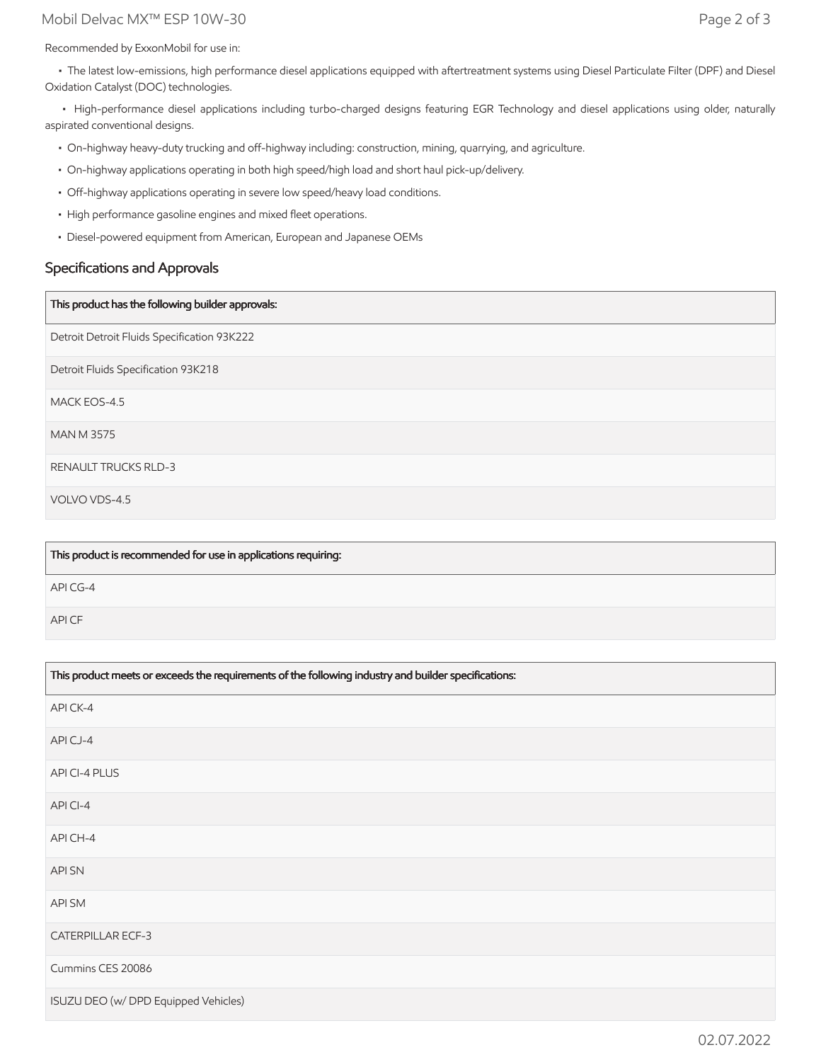## Mobil Delvac MX™ ESP 10W-30 Page 2 of 3

Recommended by ExxonMobil for use in:

 • The latest low-emissions, high performance diesel applications equipped with aftertreatment systems using Diesel Particulate Filter (DPF) and Diesel Oxidation Catalyst (DOC) technologies.

 • High-performance diesel applications including turbo-charged designs featuring EGR Technology and diesel applications using older, naturally aspirated conventional designs.

- On-highway heavy-duty trucking and off-highway including: construction, mining, quarrying, and agriculture.
- On-highway applications operating in both high speed/high load and short haul pick-up/delivery.
- Off-highway applications operating in severe low speed/heavy load conditions.
- High performance gasoline engines and mixed fleet operations.
- Diesel-powered equipment from American, European and Japanese OEMs

## Specifications and Approvals

#### This product has the following builder approvals:

Detroit Detroit Fluids Specification 93K222

Detroit Fluids Specification 93K218

MACK EOS-4.5

MAN M 3575

RENAULT TRUCKS RLD-3

VOLVO VDS-4.5

| This product is recommended for use in applications requiring: |
|----------------------------------------------------------------|
| API CG-4                                                       |
| API CF                                                         |

| This product meets or exceeds the requirements of the following industry and builder specifications: |  |
|------------------------------------------------------------------------------------------------------|--|
| API CK-4                                                                                             |  |
| APICJ-4                                                                                              |  |
| API CI-4 PLUS                                                                                        |  |
| API CI-4                                                                                             |  |
| API CH-4                                                                                             |  |
| <b>APISN</b>                                                                                         |  |
| API SM                                                                                               |  |
| <b>CATERPILLAR ECF-3</b>                                                                             |  |
| Cummins CES 20086                                                                                    |  |
| ISUZU DEO (w/ DPD Equipped Vehicles)                                                                 |  |